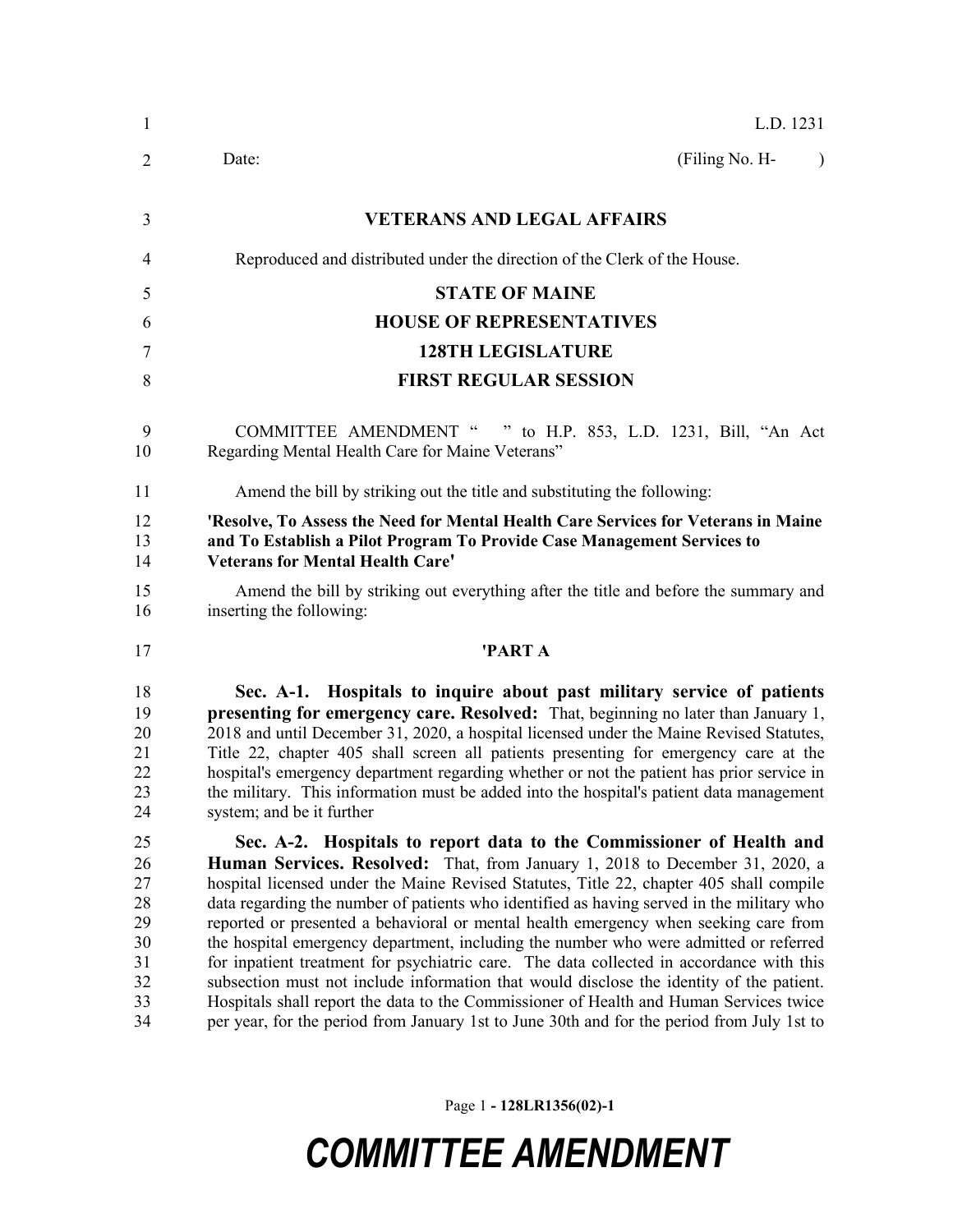| $\mathbf{1}$                                             | L.D. 1231                                                                                                                                                                                                                                                                                                                                                                                                                                                                                                                                                                                                                                                                                                                                                                                                                                                                                                            |  |  |  |
|----------------------------------------------------------|----------------------------------------------------------------------------------------------------------------------------------------------------------------------------------------------------------------------------------------------------------------------------------------------------------------------------------------------------------------------------------------------------------------------------------------------------------------------------------------------------------------------------------------------------------------------------------------------------------------------------------------------------------------------------------------------------------------------------------------------------------------------------------------------------------------------------------------------------------------------------------------------------------------------|--|--|--|
| $\overline{2}$                                           | Date:<br>(Filing No. H-<br>$\lambda$                                                                                                                                                                                                                                                                                                                                                                                                                                                                                                                                                                                                                                                                                                                                                                                                                                                                                 |  |  |  |
| 3                                                        | <b>VETERANS AND LEGAL AFFAIRS</b>                                                                                                                                                                                                                                                                                                                                                                                                                                                                                                                                                                                                                                                                                                                                                                                                                                                                                    |  |  |  |
| $\overline{4}$                                           | Reproduced and distributed under the direction of the Clerk of the House.                                                                                                                                                                                                                                                                                                                                                                                                                                                                                                                                                                                                                                                                                                                                                                                                                                            |  |  |  |
| 5                                                        | <b>STATE OF MAINE</b>                                                                                                                                                                                                                                                                                                                                                                                                                                                                                                                                                                                                                                                                                                                                                                                                                                                                                                |  |  |  |
| 6                                                        | <b>HOUSE OF REPRESENTATIVES</b>                                                                                                                                                                                                                                                                                                                                                                                                                                                                                                                                                                                                                                                                                                                                                                                                                                                                                      |  |  |  |
| 7                                                        | <b>128TH LEGISLATURE</b>                                                                                                                                                                                                                                                                                                                                                                                                                                                                                                                                                                                                                                                                                                                                                                                                                                                                                             |  |  |  |
| 8                                                        | <b>FIRST REGULAR SESSION</b>                                                                                                                                                                                                                                                                                                                                                                                                                                                                                                                                                                                                                                                                                                                                                                                                                                                                                         |  |  |  |
| 9<br>10                                                  | COMMITTEE AMENDMENT " " to H.P. 853, L.D. 1231, Bill, "An Act<br>Regarding Mental Health Care for Maine Veterans"                                                                                                                                                                                                                                                                                                                                                                                                                                                                                                                                                                                                                                                                                                                                                                                                    |  |  |  |
| 11                                                       | Amend the bill by striking out the title and substituting the following:                                                                                                                                                                                                                                                                                                                                                                                                                                                                                                                                                                                                                                                                                                                                                                                                                                             |  |  |  |
| 12<br>13<br>14<br>15                                     | 'Resolve, To Assess the Need for Mental Health Care Services for Veterans in Maine<br>and To Establish a Pilot Program To Provide Case Management Services to<br><b>Veterans for Mental Health Care'</b><br>Amend the bill by striking out everything after the title and before the summary and                                                                                                                                                                                                                                                                                                                                                                                                                                                                                                                                                                                                                     |  |  |  |
| 16                                                       | inserting the following:                                                                                                                                                                                                                                                                                                                                                                                                                                                                                                                                                                                                                                                                                                                                                                                                                                                                                             |  |  |  |
| 17                                                       | 'PART A                                                                                                                                                                                                                                                                                                                                                                                                                                                                                                                                                                                                                                                                                                                                                                                                                                                                                                              |  |  |  |
| 18<br>19<br>20<br>21<br>22<br>23<br>24                   | Sec. A-1. Hospitals to inquire about past military service of patients<br>presenting for emergency care. Resolved: That, beginning no later than January 1,<br>2018 and until December 31, 2020, a hospital licensed under the Maine Revised Statutes,<br>Title 22, chapter 405 shall screen all patients presenting for emergency care at the<br>hospital's emergency department regarding whether or not the patient has prior service in<br>the military. This information must be added into the hospital's patient data management<br>system; and be it further                                                                                                                                                                                                                                                                                                                                                 |  |  |  |
| 25<br>26<br>27<br>28<br>29<br>30<br>31<br>32<br>33<br>34 | Sec. A-2. Hospitals to report data to the Commissioner of Health and<br><b>Human Services. Resolved:</b> That, from January 1, 2018 to December 31, 2020, a<br>hospital licensed under the Maine Revised Statutes, Title 22, chapter 405 shall compile<br>data regarding the number of patients who identified as having served in the military who<br>reported or presented a behavioral or mental health emergency when seeking care from<br>the hospital emergency department, including the number who were admitted or referred<br>for inpatient treatment for psychiatric care. The data collected in accordance with this<br>subsection must not include information that would disclose the identity of the patient.<br>Hospitals shall report the data to the Commissioner of Health and Human Services twice<br>per year, for the period from January 1st to June 30th and for the period from July 1st to |  |  |  |

Page 1 **- 128LR1356(02)-1**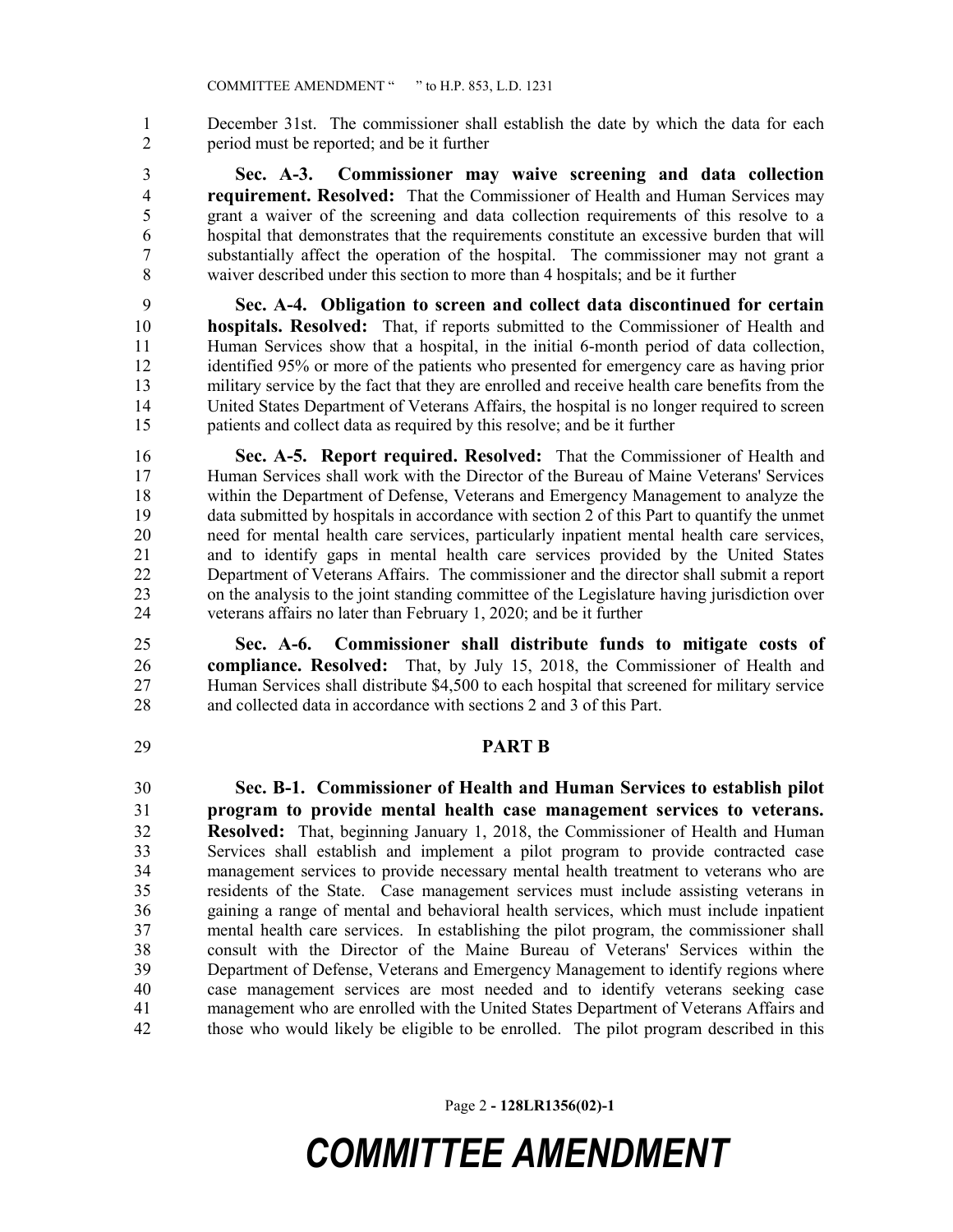December 31st. The commissioner shall establish the date by which the data for each period must be reported; and be it further

 **Sec. A-3. Commissioner may waive screening and data collection requirement. Resolved:** That the Commissioner of Health and Human Services may grant a waiver of the screening and data collection requirements of this resolve to a hospital that demonstrates that the requirements constitute an excessive burden that will substantially affect the operation of the hospital. The commissioner may not grant a waiver described under this section to more than 4 hospitals; and be it further

 **Sec. A-4. Obligation to screen and collect data discontinued for certain hospitals. Resolved:** That, if reports submitted to the Commissioner of Health and Human Services show that a hospital, in the initial 6-month period of data collection, identified 95% or more of the patients who presented for emergency care as having prior 13 military service by the fact that they are enrolled and receive health care benefits from the United States Department of Veterans Affairs, the hospital is no longer required to screen patients and collect data as required by this resolve; and be it further

 **Sec. A-5. Report required. Resolved:** That the Commissioner of Health and Human Services shall work with the Director of the Bureau of Maine Veterans' Services within the Department of Defense, Veterans and Emergency Management to analyze the data submitted by hospitals in accordance with section 2 of this Part to quantify the unmet need for mental health care services, particularly inpatient mental health care services, 21 and to identify gaps in mental health care services provided by the United States<br>22 Department of Veterans Affairs. The commissioner and the director shall submit a report Department of Veterans Affairs. The commissioner and the director shall submit a report on the analysis to the joint standing committee of the Legislature having jurisdiction over veterans affairs no later than February 1, 2020; and be it further

 **Sec. A-6. Commissioner shall distribute funds to mitigate costs of compliance. Resolved:** That, by July 15, 2018, the Commissioner of Health and Human Services shall distribute \$4,500 to each hospital that screened for military service and collected data in accordance with sections 2 and 3 of this Part.

### **PART B**

 **Sec. B-1. Commissioner of Health and Human Services to establish pilot program to provide mental health case management services to veterans. Resolved:** That, beginning January 1, 2018, the Commissioner of Health and Human Services shall establish and implement a pilot program to provide contracted case management services to provide necessary mental health treatment to veterans who are 35 residents of the State. Case management services must include assisting veterans in gaining a range of mental and behavioral health services, which must include inpatient gaining a range of mental and behavioral health services, which must include inpatient mental health care services. In establishing the pilot program, the commissioner shall consult with the Director of the Maine Bureau of Veterans' Services within the Department of Defense, Veterans and Emergency Management to identify regions where case management services are most needed and to identify veterans seeking case management who are enrolled with the United States Department of Veterans Affairs and those who would likely be eligible to be enrolled. The pilot program described in this

Page 2 **- 128LR1356(02)-1**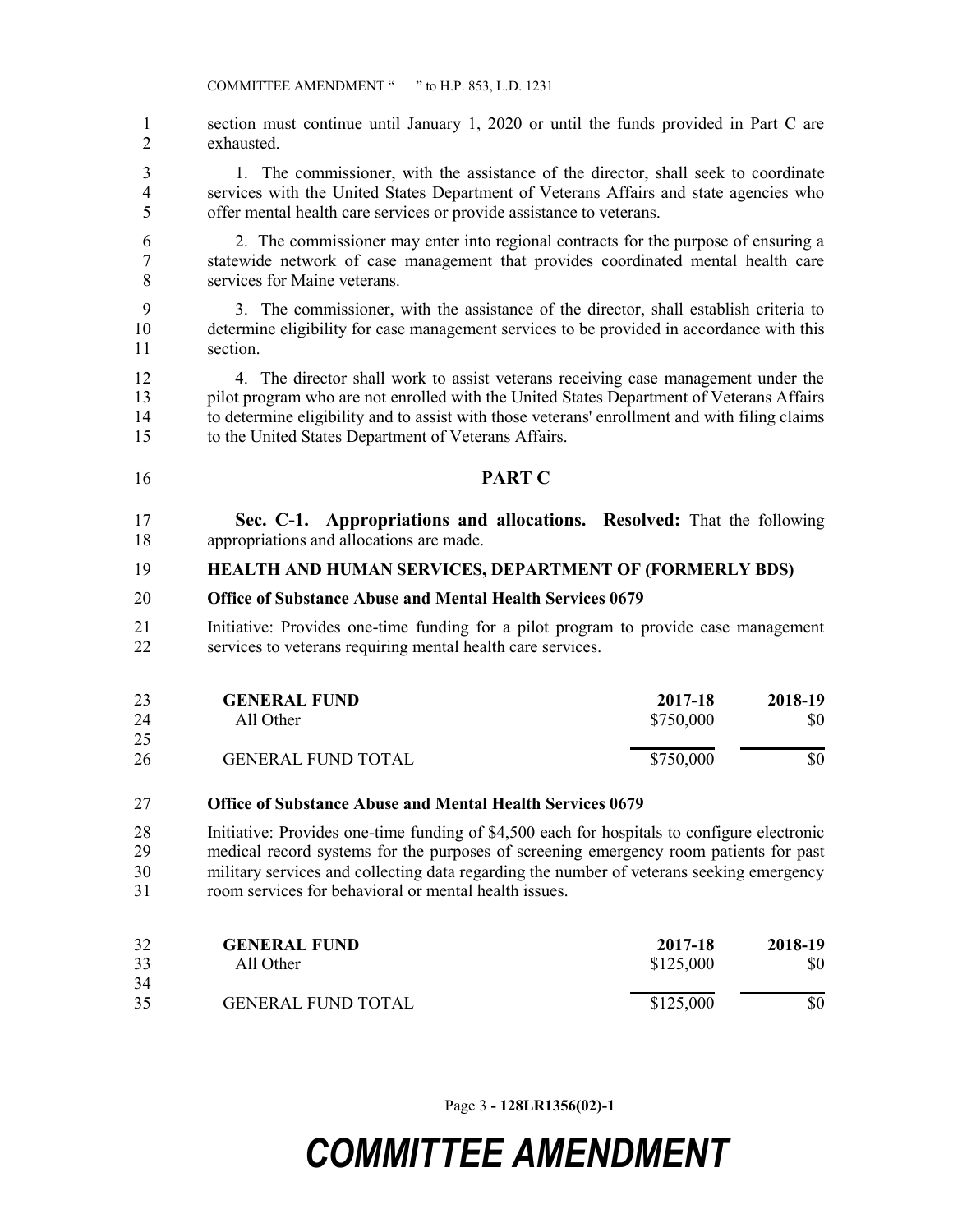section must continue until January 1, 2020 or until the funds provided in Part C are exhausted.

 1. The commissioner, with the assistance of the director, shall seek to coordinate services with the United States Department of Veterans Affairs and state agencies who offer mental health care services or provide assistance to veterans.

- 2. The commissioner may enter into regional contracts for the purpose of ensuring a statewide network of case management that provides coordinated mental health care services for Maine veterans.
- 3. The commissioner, with the assistance of the director, shall establish criteria to determine eligibility for case management services to be provided in accordance with this section.

 4. The director shall work to assist veterans receiving case management under the pilot program who are not enrolled with the United States Department of Veterans Affairs to determine eligibility and to assist with those veterans' enrollment and with filing claims to the United States Department of Veterans Affairs.

- **PART C**
- **Sec. C-1. Appropriations and allocations. Resolved:** That the following appropriations and allocations are made.

#### **HEALTH AND HUMAN SERVICES, DEPARTMENT OF (FORMERLY BDS)**

- **Office of Substance Abuse and Mental Health Services 0679**
- Initiative: Provides one-time funding for a pilot program to provide case management services to veterans requiring mental health care services.

| 23<br>24 | <b>GENERAL FUND</b><br>All Other | 2017-18<br>\$750,000 | 2018-19<br>\$0 |
|----------|----------------------------------|----------------------|----------------|
| 25       |                                  |                      |                |
| 26       | <b>GENERAL FUND TOTAL</b>        | \$750,000            | \$0            |

#### **Office of Substance Abuse and Mental Health Services 0679**

 Initiative: Provides one-time funding of \$4,500 each for hospitals to configure electronic medical record systems for the purposes of screening emergency room patients for past military services and collecting data regarding the number of veterans seeking emergency room services for behavioral or mental health issues.

| 32 | <b>GENERAL FUND</b>       | 2017-18   | 2018-19 |
|----|---------------------------|-----------|---------|
| 33 | All Other                 | \$125,000 | \$0     |
| 34 |                           |           |         |
| 35 | <b>GENERAL FUND TOTAL</b> | \$125,000 | \$0     |

Page 3 **- 128LR1356(02)-1**